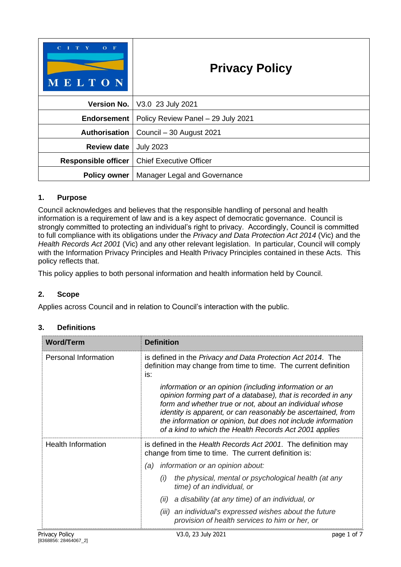| $\mathbf C$<br>$\mathbf{T}$<br>$O$ F<br><b>MELTON</b> | <b>Privacy Policy</b>                  |  |
|-------------------------------------------------------|----------------------------------------|--|
|                                                       | <b>Version No.</b>   V3.0 23 July 2021 |  |
| Endorsement                                           | Policy Review Panel - 29 July 2021     |  |
| Authorisation                                         | Council - 30 August 2021               |  |
| <b>Review date</b>                                    | <b>July 2023</b>                       |  |
| <b>Responsible officer</b>                            | <b>Chief Executive Officer</b>         |  |
| <b>Policy owner</b>                                   | Manager Legal and Governance           |  |

## **1. Purpose**

Council acknowledges and believes that the responsible handling of personal and health information is a requirement of law and is a key aspect of democratic governance. Council is strongly committed to protecting an individual's right to privacy. Accordingly, Council is committed to full compliance with its obligations under the *Privacy and Data Protection Act 2014* (Vic) and the *Health Records Act 2001* (Vic) and any other relevant legislation. In particular, Council will comply with the Information Privacy Principles and Health Privacy Principles contained in these Acts. This policy reflects that.

This policy applies to both personal information and health information held by Council.

## **2. Scope**

Applies across Council and in relation to Council's interaction with the public.

#### **3. Definitions**

| <b>Word/Term</b>            | <b>Definition</b>                                                                                                                                                                                                                                                                                                                                                           |  |  |
|-----------------------------|-----------------------------------------------------------------------------------------------------------------------------------------------------------------------------------------------------------------------------------------------------------------------------------------------------------------------------------------------------------------------------|--|--|
| <b>Personal Information</b> | is defined in the Privacy and Data Protection Act 2014. The<br>definition may change from time to time. The current definition<br>is:                                                                                                                                                                                                                                       |  |  |
|                             | information or an opinion (including information or an<br>opinion forming part of a database), that is recorded in any<br>form and whether true or not, about an individual whose<br>identity is apparent, or can reasonably be ascertained, from<br>the information or opinion, but does not include information<br>of a kind to which the Health Records Act 2001 applies |  |  |
| <b>Health Information</b>   | is defined in the Health Records Act 2001. The definition may<br>change from time to time. The current definition is:                                                                                                                                                                                                                                                       |  |  |
|                             | information or an opinion about:<br>(a)                                                                                                                                                                                                                                                                                                                                     |  |  |
|                             | the physical, mental or psychological health (at any<br>(i)<br>time) of an individual, or                                                                                                                                                                                                                                                                                   |  |  |
|                             | a disability (at any time) of an individual, or<br>(ii)                                                                                                                                                                                                                                                                                                                     |  |  |
|                             | (iii) an individual's expressed wishes about the future<br>provision of health services to him or her, or                                                                                                                                                                                                                                                                   |  |  |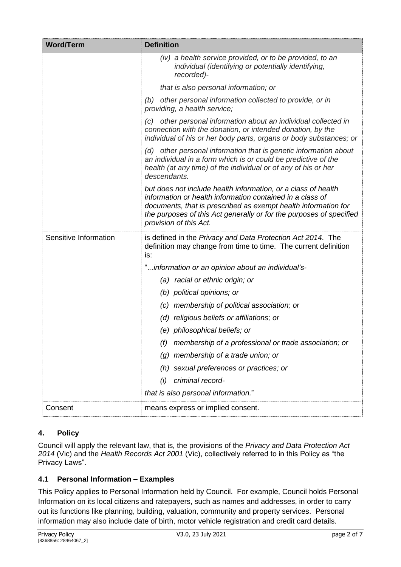| <b>Word/Term</b>      | <b>Definition</b>                                                                                                                                                                                                                                                                             |
|-----------------------|-----------------------------------------------------------------------------------------------------------------------------------------------------------------------------------------------------------------------------------------------------------------------------------------------|
|                       | (iv) a health service provided, or to be provided, to an<br>individual (identifying or potentially identifying,<br>recorded)-                                                                                                                                                                 |
|                       | that is also personal information; or                                                                                                                                                                                                                                                         |
|                       | (b) other personal information collected to provide, or in<br>providing, a health service;                                                                                                                                                                                                    |
|                       | (c) other personal information about an individual collected in<br>connection with the donation, or intended donation, by the<br>individual of his or her body parts, organs or body substances; or                                                                                           |
|                       | (d) other personal information that is genetic information about<br>an individual in a form which is or could be predictive of the<br>health (at any time) of the individual or of any of his or her<br>descendants.                                                                          |
|                       | but does not include health information, or a class of health<br>information or health information contained in a class of<br>documents, that is prescribed as exempt health information for<br>the purposes of this Act generally or for the purposes of specified<br>provision of this Act. |
| Sensitive Information | is defined in the Privacy and Data Protection Act 2014. The<br>definition may change from time to time. The current definition<br>is:                                                                                                                                                         |
|                       | "information or an opinion about an individual's-                                                                                                                                                                                                                                             |
|                       | racial or ethnic origin; or<br>(a)                                                                                                                                                                                                                                                            |
|                       | (b) political opinions; or                                                                                                                                                                                                                                                                    |
|                       | (c) membership of political association; or                                                                                                                                                                                                                                                   |
|                       | (d) religious beliefs or affiliations; or                                                                                                                                                                                                                                                     |
|                       | (e) philosophical beliefs; or                                                                                                                                                                                                                                                                 |
|                       | membership of a professional or trade association; or<br>(f)                                                                                                                                                                                                                                  |
|                       | membership of a trade union; or<br>(g)                                                                                                                                                                                                                                                        |
|                       | sexual preferences or practices; or<br>(h)                                                                                                                                                                                                                                                    |
|                       | criminal record-<br>(i)                                                                                                                                                                                                                                                                       |
|                       | that is also personal information."                                                                                                                                                                                                                                                           |
| Consent               | means express or implied consent.                                                                                                                                                                                                                                                             |

# **4. Policy**

Council will apply the relevant law, that is, the provisions of the *Privacy and Data Protection Act 2014* (Vic) and the *Health Records Act 2001* (Vic), collectively referred to in this Policy as "the Privacy Laws".

# **4.1 Personal Information – Examples**

This Policy applies to Personal Information held by Council. For example, Council holds Personal Information on its local citizens and ratepayers, such as names and addresses, in order to carry out its functions like planning, building, valuation, community and property services. Personal information may also include date of birth, motor vehicle registration and credit card details.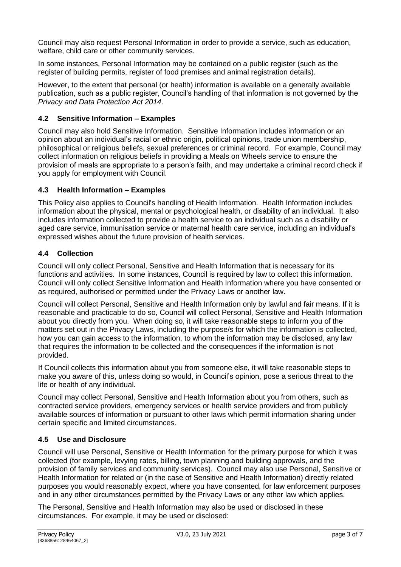Council may also request Personal Information in order to provide a service, such as education, welfare, child care or other community services.

In some instances, Personal Information may be contained on a public register (such as the register of building permits, register of food premises and animal registration details).

However, to the extent that personal (or health) information is available on a generally available publication, such as a public register, Council's handling of that information is not governed by the *Privacy and Data Protection Act 2014*.

## **4.2 Sensitive Information – Examples**

Council may also hold Sensitive Information. Sensitive Information includes information or an opinion about an individual's racial or ethnic origin, political opinions, trade union membership, philosophical or religious beliefs, sexual preferences or criminal record. For example, Council may collect information on religious beliefs in providing a Meals on Wheels service to ensure the provision of meals are appropriate to a person's faith, and may undertake a criminal record check if you apply for employment with Council.

## **4.3 Health Information – Examples**

This Policy also applies to Council's handling of Health Information. Health Information includes information about the physical, mental or psychological health, or disability of an individual. It also includes information collected to provide a health service to an individual such as a disability or aged care service, immunisation service or maternal health care service, including an individual's expressed wishes about the future provision of health services.

## **4.4 Collection**

Council will only collect Personal, Sensitive and Health Information that is necessary for its functions and activities. In some instances, Council is required by law to collect this information. Council will only collect Sensitive Information and Health Information where you have consented or as required, authorised or permitted under the Privacy Laws or another law.

Council will collect Personal, Sensitive and Health Information only by lawful and fair means. If it is reasonable and practicable to do so, Council will collect Personal, Sensitive and Health Information about you directly from you. When doing so, it will take reasonable steps to inform you of the matters set out in the Privacy Laws, including the purpose/s for which the information is collected, how you can gain access to the information, to whom the information may be disclosed, any law that requires the information to be collected and the consequences if the information is not provided.

If Council collects this information about you from someone else, it will take reasonable steps to make you aware of this, unless doing so would, in Council's opinion, pose a serious threat to the life or health of any individual.

Council may collect Personal, Sensitive and Health Information about you from others, such as contracted service providers, emergency services or health service providers and from publicly available sources of information or pursuant to other laws which permit information sharing under certain specific and limited circumstances.

## **4.5 Use and Disclosure**

Council will use Personal, Sensitive or Health Information for the primary purpose for which it was collected (for example, levying rates, billing, town planning and building approvals, and the provision of family services and community services). Council may also use Personal, Sensitive or Health Information for related or (in the case of Sensitive and Health Information) directly related purposes you would reasonably expect, where you have consented, for law enforcement purposes and in any other circumstances permitted by the Privacy Laws or any other law which applies.

The Personal, Sensitive and Health Information may also be used or disclosed in these circumstances. For example, it may be used or disclosed: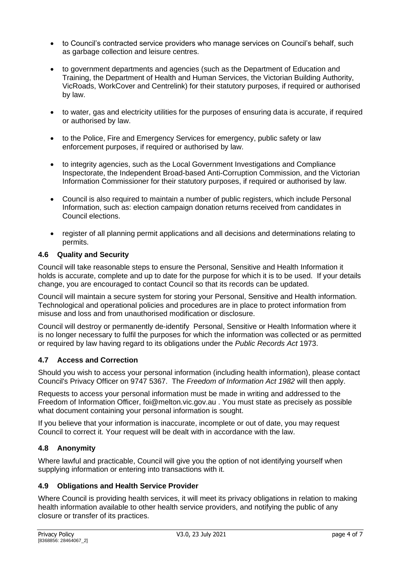- to Council's contracted service providers who manage services on Council's behalf, such as garbage collection and leisure centres.
- to government departments and agencies (such as the Department of Education and Training, the Department of Health and Human Services, the Victorian Building Authority, VicRoads, WorkCover and Centrelink) for their statutory purposes, if required or authorised by law.
- to water, gas and electricity utilities for the purposes of ensuring data is accurate, if required or authorised by law.
- to the Police, Fire and Emergency Services for emergency, public safety or law enforcement purposes, if required or authorised by law.
- to integrity agencies, such as the Local Government Investigations and Compliance Inspectorate, the Independent Broad-based Anti-Corruption Commission, and the Victorian Information Commissioner for their statutory purposes, if required or authorised by law.
- Council is also required to maintain a number of public registers, which include Personal Information, such as: election campaign donation returns received from candidates in Council elections.
- register of all planning permit applications and all decisions and determinations relating to permits.

## **4.6 Quality and Security**

Council will take reasonable steps to ensure the Personal, Sensitive and Health Information it holds is accurate, complete and up to date for the purpose for which it is to be used. If your details change, you are encouraged to contact Council so that its records can be updated.

Council will maintain a secure system for storing your Personal, Sensitive and Health information. Technological and operational policies and procedures are in place to protect information from misuse and loss and from unauthorised modification or disclosure.

Council will destroy or permanently de-identify Personal, Sensitive or Health Information where it is no longer necessary to fulfil the purposes for which the information was collected or as permitted or required by law having regard to its obligations under the *Public Records Act* 1973.

## **4.7 Access and Correction**

Should you wish to access your personal information (including health information), please contact Council's Privacy Officer on 9747 5367. The *Freedom of Information Act 1982* will then apply.

Requests to access your personal information must be made in writing and addressed to the Freedom of Information Officer, foi@melton.vic.gov.au . You must state as precisely as possible what document containing your personal information is sought.

If you believe that your information is inaccurate, incomplete or out of date, you may request Council to correct it. Your request will be dealt with in accordance with the law.

## **4.8 Anonymity**

Where lawful and practicable, Council will give you the option of not identifying yourself when supplying information or entering into transactions with it.

## **4.9 Obligations and Health Service Provider**

Where Council is providing health services, it will meet its privacy obligations in relation to making health information available to other health service providers, and notifying the public of any closure or transfer of its practices.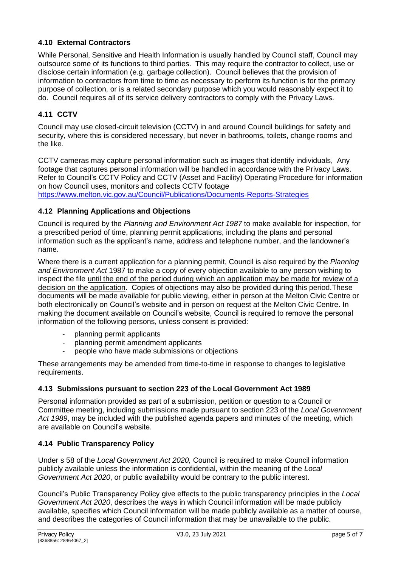## **4.10 External Contractors**

While Personal, Sensitive and Health Information is usually handled by Council staff, Council may outsource some of its functions to third parties. This may require the contractor to collect, use or disclose certain information (e.g. garbage collection). Council believes that the provision of information to contractors from time to time as necessary to perform its function is for the primary purpose of collection, or is a related secondary purpose which you would reasonably expect it to do. Council requires all of its service delivery contractors to comply with the Privacy Laws.

# **4.11 CCTV**

name.

Council may use closed-circuit television (CCTV) in and around Council buildings for safety and security, where this is considered necessary, but never in bathrooms, toilets, change rooms and the like.

CCTV cameras may capture personal information such as images that identify individuals, Any footage that captures personal information will be handled in accordance with the Privacy Laws. Refer to Council's CCTV Policy and CCTV (Asset and Facility) Operating Procedure for information on how Council uses, monitors and collects CCTV footage <https://www.melton.vic.gov.au/Council/Publications/Documents-Reports-Strategies>

**4.12 Planning Applications and Objections**

Council is required by the *Planning and Environment Act 1987* to make available for inspection, for a prescribed period of time, planning permit applications, including the plans and personal information such as the applicant's name, address and telephone number, and the landowner's

Where there is a current application for a planning permit, Council is also required by the *Planning and Environment Act* 1987 to make a copy of every objection available to any person wishing to inspect the file until the end of the period during which an application may be made for review of a decision on the application. Copies of objections may also be provided during this period.These documents will be made available for public viewing, either in person at the Melton Civic Centre or both electronically on Council's website and in person on request at the Melton Civic Centre. In making the document available on Council's website, Council is required to remove the personal information of the following persons, unless consent is provided:

- planning permit applicants
- planning permit amendment applicants
- people who have made submissions or objections

These arrangements may be amended from time-to-time in response to changes to legislative requirements.

## **4.13 Submissions pursuant to section 223 of the Local Government Act 1989**

Personal information provided as part of a submission, petition or question to a Council or Committee meeting, including submissions made pursuant to section 223 of the *Local Government Act 1989*, may be included with the published agenda papers and minutes of the meeting, which are available on Council's website.

## **4.14 Public Transparency Policy**

Under s 58 of the *Local Government Act 2020,* Council is required to make Council information publicly available unless the information is confidential, within the meaning of the *Local Government Act 2020*, or public availability would be contrary to the public interest.

Council's Public Transparency Policy give effects to the public transparency principles in the *Local Government Act 2020*, describes the ways in which Council information will be made publicly available, specifies which Council information will be made publicly available as a matter of course, and describes the categories of Council information that may be unavailable to the public.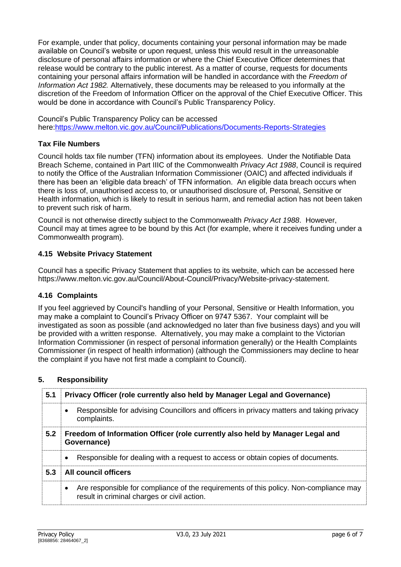For example, under that policy, documents containing your personal information may be made available on Council's website or upon request, unless this would result in the unreasonable disclosure of personal affairs information or where the Chief Executive Officer determines that release would be contrary to the public interest. As a matter of course, requests for documents containing your personal affairs information will be handled in accordance with the *Freedom of Information Act 1982.* Alternatively, these documents may be released to you informally at the discretion of the Freedom of Information Officer on the approval of the Chief Executive Officer. This would be done in accordance with Council's Public Transparency Policy.

Council's Public Transparency Policy can be accessed here[:https://www.melton.vic.gov.au/Council/Publications/Documents-Reports-Strategies](https://www.melton.vic.gov.au/Council/Publications/Documents-Reports-Strategies)

#### **Tax File Numbers**

Council holds tax file number (TFN) information about its employees. Under the Notifiable Data Breach Scheme, contained in Part IIIC of the Commonwealth *Privacy Act 1988*, Council is required to notify the Office of the Australian Information Commissioner (OAIC) and affected individuals if there has been an 'eligible data breach' of TFN information. An eligible data breach occurs when there is loss of, unauthorised access to, or unauthorised disclosure of, Personal, Sensitive or Health information, which is likely to result in serious harm, and remedial action has not been taken to prevent such risk of harm.

Council is not otherwise directly subject to the Commonwealth *Privacy Act 1988*. However, Council may at times agree to be bound by this Act (for example, where it receives funding under a Commonwealth program).

#### **4.15 Website Privacy Statement**

Council has a specific Privacy Statement that applies to its website, which can be accessed here https://www.melton.vic.gov.au/Council/About-Council/Privacy/Website-privacy-statement.

#### **4.16 Complaints**

If you feel aggrieved by Council's handling of your Personal, Sensitive or Health Information, you may make a complaint to Council's Privacy Officer on 9747 5367. Your complaint will be investigated as soon as possible (and acknowledged no later than five business days) and you will be provided with a written response. Alternatively, you may make a complaint to the Victorian Information Commissioner (in respect of personal information generally) or the Health Complaints Commissioner (in respect of health information) (although the Commissioners may decline to hear the complaint if you have not first made a complaint to Council).

#### **5. Responsibility**

| 5.1 | Privacy Officer (role currently also held by Manager Legal and Governance)                                                                        |  |
|-----|---------------------------------------------------------------------------------------------------------------------------------------------------|--|
|     | Responsible for advising Councillors and officers in privacy matters and taking privacy<br>$\bullet$<br>complaints.                               |  |
| 5.2 | Freedom of Information Officer (role currently also held by Manager Legal and<br>Governance)                                                      |  |
|     | Responsible for dealing with a request to access or obtain copies of documents.<br>$\bullet$                                                      |  |
| 5.3 | <b>All council officers</b>                                                                                                                       |  |
|     | Are responsible for compliance of the requirements of this policy. Non-compliance may<br>$\bullet$<br>result in criminal charges or civil action. |  |